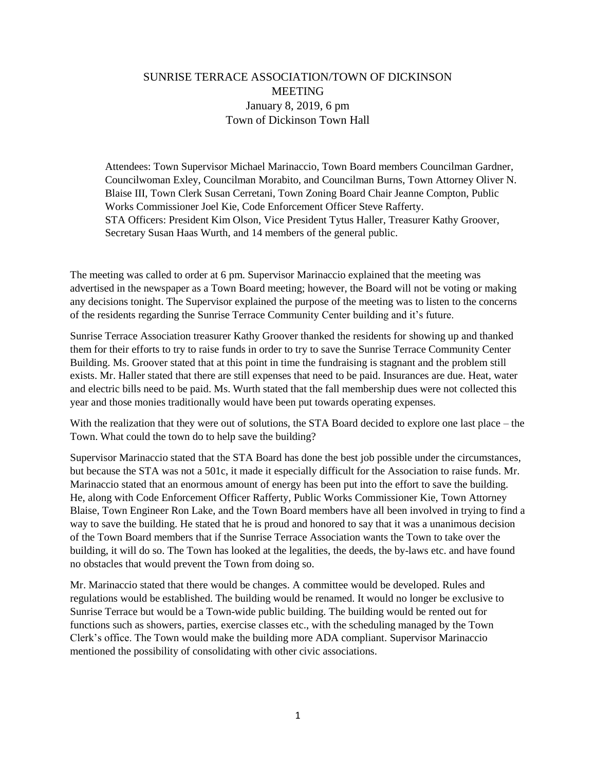## SUNRISE TERRACE ASSOCIATION/TOWN OF DICKINSON **MEETING** January 8, 2019, 6 pm Town of Dickinson Town Hall

Attendees: Town Supervisor Michael Marinaccio, Town Board members Councilman Gardner, Councilwoman Exley, Councilman Morabito, and Councilman Burns, Town Attorney Oliver N. Blaise III, Town Clerk Susan Cerretani, Town Zoning Board Chair Jeanne Compton, Public Works Commissioner Joel Kie, Code Enforcement Officer Steve Rafferty. STA Officers: President Kim Olson, Vice President Tytus Haller, Treasurer Kathy Groover, Secretary Susan Haas Wurth, and 14 members of the general public.

The meeting was called to order at 6 pm. Supervisor Marinaccio explained that the meeting was advertised in the newspaper as a Town Board meeting; however, the Board will not be voting or making any decisions tonight. The Supervisor explained the purpose of the meeting was to listen to the concerns of the residents regarding the Sunrise Terrace Community Center building and it's future.

Sunrise Terrace Association treasurer Kathy Groover thanked the residents for showing up and thanked them for their efforts to try to raise funds in order to try to save the Sunrise Terrace Community Center Building. Ms. Groover stated that at this point in time the fundraising is stagnant and the problem still exists. Mr. Haller stated that there are still expenses that need to be paid. Insurances are due. Heat, water and electric bills need to be paid. Ms. Wurth stated that the fall membership dues were not collected this year and those monies traditionally would have been put towards operating expenses.

With the realization that they were out of solutions, the STA Board decided to explore one last place – the Town. What could the town do to help save the building?

Supervisor Marinaccio stated that the STA Board has done the best job possible under the circumstances, but because the STA was not a 501c, it made it especially difficult for the Association to raise funds. Mr. Marinaccio stated that an enormous amount of energy has been put into the effort to save the building. He, along with Code Enforcement Officer Rafferty, Public Works Commissioner Kie, Town Attorney Blaise, Town Engineer Ron Lake, and the Town Board members have all been involved in trying to find a way to save the building. He stated that he is proud and honored to say that it was a unanimous decision of the Town Board members that if the Sunrise Terrace Association wants the Town to take over the building, it will do so. The Town has looked at the legalities, the deeds, the by-laws etc. and have found no obstacles that would prevent the Town from doing so.

Mr. Marinaccio stated that there would be changes. A committee would be developed. Rules and regulations would be established. The building would be renamed. It would no longer be exclusive to Sunrise Terrace but would be a Town-wide public building. The building would be rented out for functions such as showers, parties, exercise classes etc., with the scheduling managed by the Town Clerk's office. The Town would make the building more ADA compliant. Supervisor Marinaccio mentioned the possibility of consolidating with other civic associations.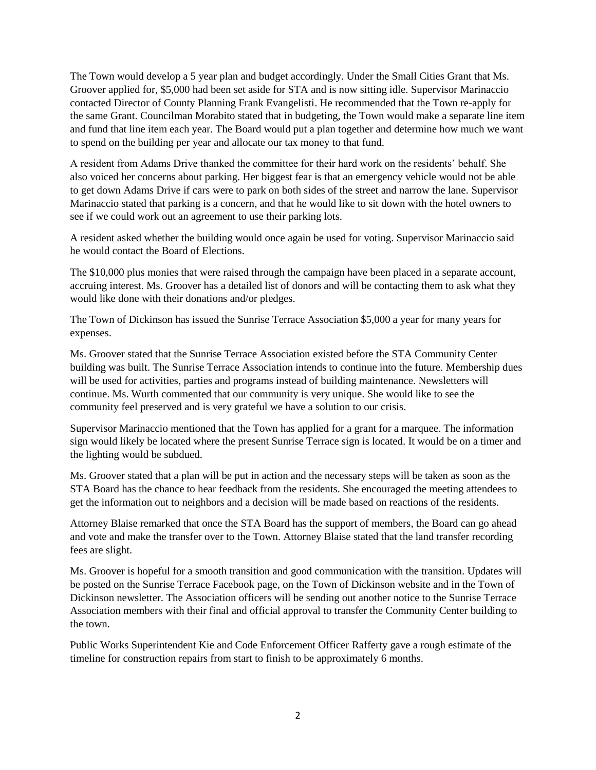The Town would develop a 5 year plan and budget accordingly. Under the Small Cities Grant that Ms. Groover applied for, \$5,000 had been set aside for STA and is now sitting idle. Supervisor Marinaccio contacted Director of County Planning Frank Evangelisti. He recommended that the Town re-apply for the same Grant. Councilman Morabito stated that in budgeting, the Town would make a separate line item and fund that line item each year. The Board would put a plan together and determine how much we want to spend on the building per year and allocate our tax money to that fund.

A resident from Adams Drive thanked the committee for their hard work on the residents' behalf. She also voiced her concerns about parking. Her biggest fear is that an emergency vehicle would not be able to get down Adams Drive if cars were to park on both sides of the street and narrow the lane. Supervisor Marinaccio stated that parking is a concern, and that he would like to sit down with the hotel owners to see if we could work out an agreement to use their parking lots.

A resident asked whether the building would once again be used for voting. Supervisor Marinaccio said he would contact the Board of Elections.

The \$10,000 plus monies that were raised through the campaign have been placed in a separate account, accruing interest. Ms. Groover has a detailed list of donors and will be contacting them to ask what they would like done with their donations and/or pledges.

The Town of Dickinson has issued the Sunrise Terrace Association \$5,000 a year for many years for expenses.

Ms. Groover stated that the Sunrise Terrace Association existed before the STA Community Center building was built. The Sunrise Terrace Association intends to continue into the future. Membership dues will be used for activities, parties and programs instead of building maintenance. Newsletters will continue. Ms. Wurth commented that our community is very unique. She would like to see the community feel preserved and is very grateful we have a solution to our crisis.

Supervisor Marinaccio mentioned that the Town has applied for a grant for a marquee. The information sign would likely be located where the present Sunrise Terrace sign is located. It would be on a timer and the lighting would be subdued.

Ms. Groover stated that a plan will be put in action and the necessary steps will be taken as soon as the STA Board has the chance to hear feedback from the residents. She encouraged the meeting attendees to get the information out to neighbors and a decision will be made based on reactions of the residents.

Attorney Blaise remarked that once the STA Board has the support of members, the Board can go ahead and vote and make the transfer over to the Town. Attorney Blaise stated that the land transfer recording fees are slight.

Ms. Groover is hopeful for a smooth transition and good communication with the transition. Updates will be posted on the Sunrise Terrace Facebook page, on the Town of Dickinson website and in the Town of Dickinson newsletter. The Association officers will be sending out another notice to the Sunrise Terrace Association members with their final and official approval to transfer the Community Center building to the town.

Public Works Superintendent Kie and Code Enforcement Officer Rafferty gave a rough estimate of the timeline for construction repairs from start to finish to be approximately 6 months.